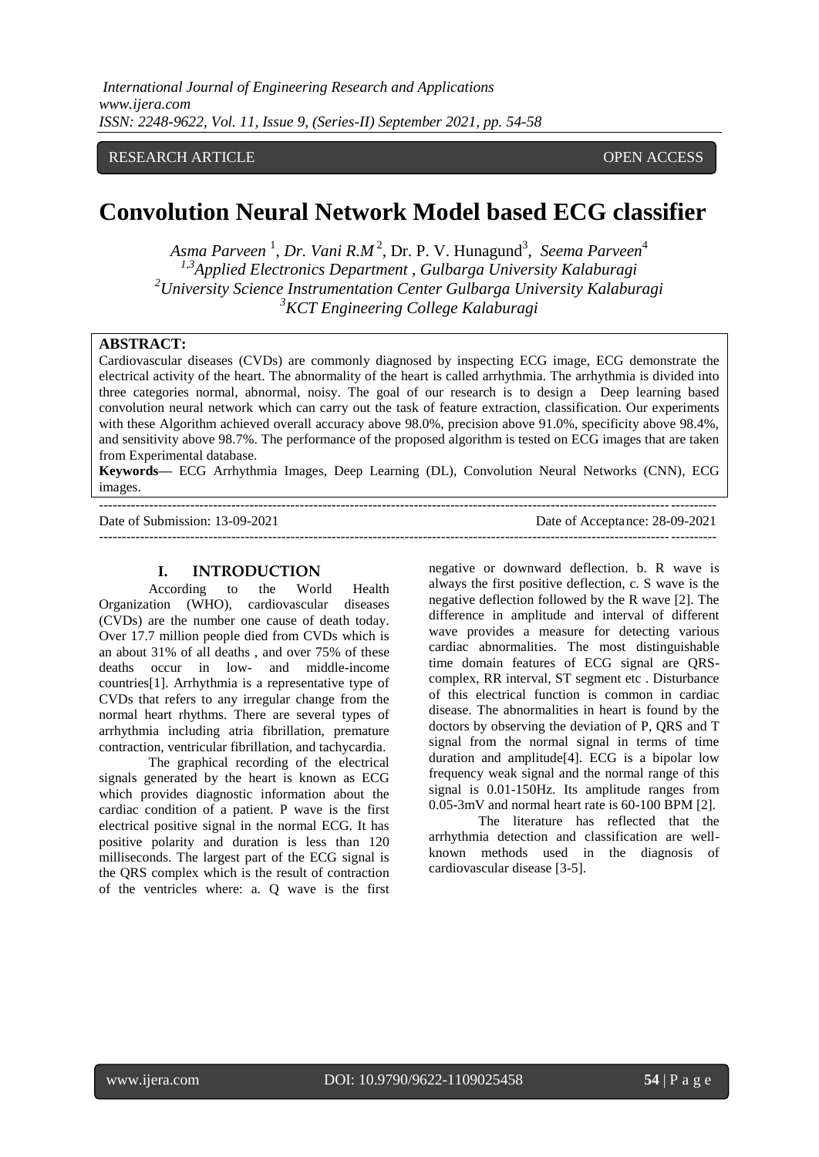# RESEARCH ARTICLE OPEN ACCESS

# **Convolution Neural Network Model based ECG classifier**

Asma Parveen <sup>1</sup>, Dr. Vani R.M<sup>2</sup>, Dr. P. V. Hunagund<sup>3</sup>, Seema Parveen<sup>4</sup> *1,3Applied Electronics Department , Gulbarga University Kalaburagi <sup>2</sup>University Science Instrumentation Center Gulbarga University Kalaburagi <sup>3</sup>KCT Engineering College Kalaburagi*

## **ABSTRACT:**

Cardiovascular diseases (CVDs) are commonly diagnosed by inspecting ECG image, ECG demonstrate the electrical activity of the heart. The abnormality of the heart is called arrhythmia. The arrhythmia is divided into three categories normal, abnormal, noisy. The goal of our research is to design a Deep learning based convolution neural network which can carry out the task of feature extraction, classification. Our experiments with these Algorithm achieved overall accuracy above 98.0%, precision above 91.0%, specificity above 98.4%, and sensitivity above 98.7%. The performance of the proposed algorithm is tested on ECG images that are taken from Experimental database.

**Keywords—** ECG Arrhythmia Images, Deep Learning (DL), Convolution Neural Networks (CNN), ECG images.

Date of Submission: 13-09-2021

| Date of Submission: 13-09-2021 | Date of Acceptance: 28-09-2021 |
|--------------------------------|--------------------------------|
|                                |                                |

#### **I. INTRODUCTION**

---------------------------------------------------------------------------------------------------------------------------------------

According to the World Health Organization (WHO), cardiovascular diseases (CVDs) are the number one cause of death today. Over 17.7 million people died from CVDs which is an about 31% of all deaths , and over 75% of these deaths occur in low- and middle-income countries[1]. Arrhythmia is a representative type of CVDs that refers to any irregular change from the normal heart rhythms. There are several types of arrhythmia including atria fibrillation, premature contraction, ventricular fibrillation, and tachycardia.

The graphical recording of the electrical signals generated by the heart is known as ECG which provides diagnostic information about the cardiac condition of a patient. P wave is the first electrical positive signal in the normal ECG. It has positive polarity and duration is less than 120 milliseconds. The largest part of the ECG signal is the QRS complex which is the result of contraction of the ventricles where: a. Q wave is the first negative or downward deflection. b. R wave is always the first positive deflection, c. S wave is the negative deflection followed by the R wave [2]. The difference in amplitude and interval of different wave provides a measure for detecting various cardiac abnormalities. The most distinguishable time domain features of ECG signal are QRScomplex, RR interval, ST segment etc . Disturbance of this electrical function is common in cardiac disease. The abnormalities in heart is found by the doctors by observing the deviation of P, QRS and T signal from the normal signal in terms of time duration and amplitude[4]. ECG is a bipolar low frequency weak signal and the normal range of this signal is 0.01-150Hz. Its amplitude ranges from 0.05-3mV and normal heart rate is 60-100 BPM [2].

The literature has reflected that the arrhythmia detection and classification are wellknown methods used in the diagnosis of cardiovascular disease [3-5].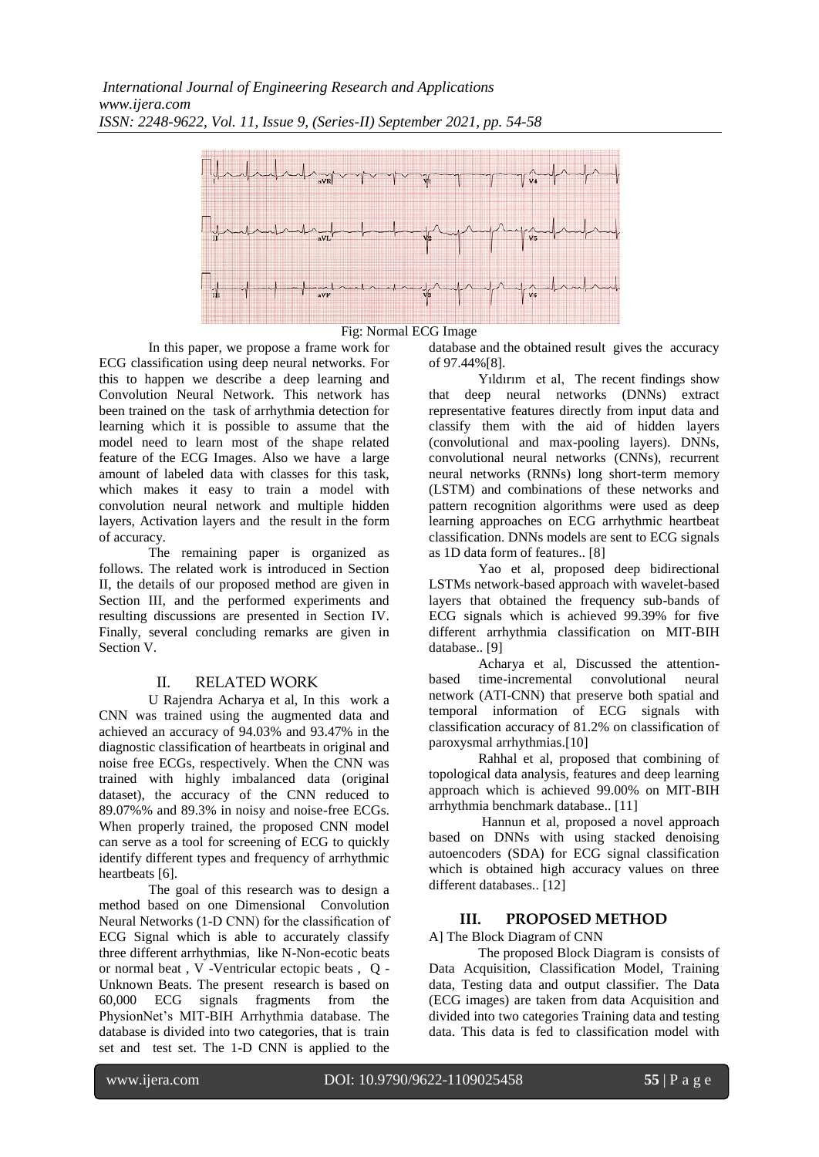

Fig: Normal ECG Image

In this paper, we propose a frame work for ECG classification using deep neural networks. For this to happen we describe a deep learning and Convolution Neural Network. This network has been trained on the task of arrhythmia detection for learning which it is possible to assume that the model need to learn most of the shape related feature of the ECG Images. Also we have a large amount of labeled data with classes for this task, which makes it easy to train a model with convolution neural network and multiple hidden layers, Activation layers and the result in the form of accuracy.

The remaining paper is organized as follows. The related work is introduced in Section II, the details of our proposed method are given in Section III, and the performed experiments and resulting discussions are presented in Section IV. Finally, several concluding remarks are given in Section V.

# II. RELATED WORK

U Rajendra Acharya et al, In this work a CNN was trained using the augmented data and achieved an accuracy of 94.03% and 93.47% in the diagnostic classification of heartbeats in original and noise free ECGs, respectively. When the CNN was trained with highly imbalanced data (original dataset), the accuracy of the CNN reduced to 89.07%% and 89.3% in noisy and noise-free ECGs. When properly trained, the proposed CNN model can serve as a tool for screening of ECG to quickly identify different types and frequency of arrhythmic heartbeats [6].

The goal of this research was to design a method based on one Dimensional Convolution Neural Networks (1-D CNN) for the classification of ECG Signal which is able to accurately classify three different arrhythmias, like N-Non-ecotic beats or normal beat , V -Ventricular ectopic beats , Q - Unknown Beats. The present research is based on 60,000 ECG signals fragments from the PhysionNet's MIT-BIH Arrhythmia database. The database is divided into two categories, that is train set and test set. The 1-D CNN is applied to the

database and the obtained result gives the accuracy of 97.44%[8].

Yıldırım et al, The recent findings show that deep neural networks (DNNs) extract representative features directly from input data and classify them with the aid of hidden layers (convolutional and max-pooling layers). DNNs, convolutional neural networks (CNNs), recurrent neural networks (RNNs) long short-term memory (LSTM) and combinations of these networks and pattern recognition algorithms were used as deep learning approaches on ECG arrhythmic heartbeat classification. DNNs models are sent to ECG signals as 1D data form of features.. [8]

Yao et al, proposed deep bidirectional LSTMs network-based approach with wavelet-based layers that obtained the frequency sub-bands of ECG signals which is achieved 99.39% for five different arrhythmia classification on MIT-BIH database.. [9]

Acharya et al, Discussed the attentionbased time-incremental convolutional neural network (ATI-CNN) that preserve both spatial and temporal information of ECG signals with classification accuracy of 81.2% on classification of paroxysmal arrhythmias.[10]

Rahhal et al, proposed that combining of topological data analysis, features and deep learning approach which is achieved 99.00% on MIT-BIH arrhythmia benchmark database.. [11]

Hannun et al, proposed a novel approach based on DNNs with using stacked denoising autoencoders (SDA) for ECG signal classification which is obtained high accuracy values on three different databases.. [12]

# **III. PROPOSED METHOD**

A] The Block Diagram of CNN

The proposed Block Diagram is consists of Data Acquisition, Classification Model, Training data, Testing data and output classifier. The Data (ECG images) are taken from data Acquisition and divided into two categories Training data and testing data. This data is fed to classification model with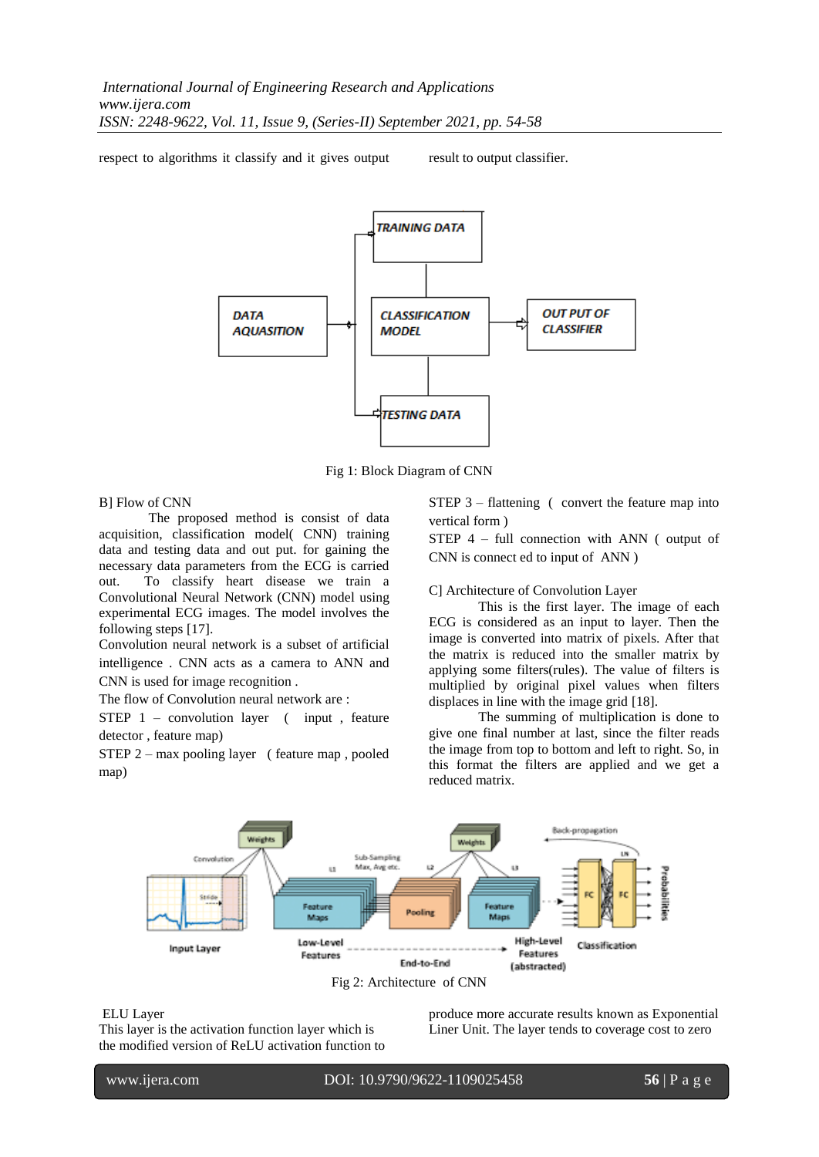respect to algorithms it classify and it gives output result to output classifier.



Fig 1: Block Diagram of CNN

B] Flow of CNN

The proposed method is consist of data acquisition, classification model( CNN) training data and testing data and out put. for gaining the necessary data parameters from the ECG is carried out. To classify heart disease we train a Convolutional Neural Network (CNN) model using experimental ECG images. The model involves the following steps [17].

Convolution neural network is a subset of artificial intelligence . CNN acts as a camera to ANN and CNN is used for image recognition .

The flow of Convolution neural network are :

STEP 1 – convolution layer ( input , feature detector , feature map)

STEP 2 – max pooling layer ( feature map , pooled map)

STEP 3 – flattening ( convert the feature map into vertical form )

STEP 4 – full connection with ANN ( output of CNN is connect ed to input of ANN )

C] Architecture of Convolution Layer

This is the first layer. The image of each ECG is considered as an input to layer. Then the image is converted into matrix of pixels. After that the matrix is reduced into the smaller matrix by applying some filters(rules). The value of filters is multiplied by original pixel values when filters displaces in line with the image grid [18].

The summing of multiplication is done to give one final number at last, since the filter reads the image from top to bottom and left to right. So, in this format the filters are applied and we get a reduced matrix.



### ELU Layer

l

This layer is the activation function layer which is the modified version of ReLU activation function to produce more accurate results known as Exponential Liner Unit. The layer tends to coverage cost to zero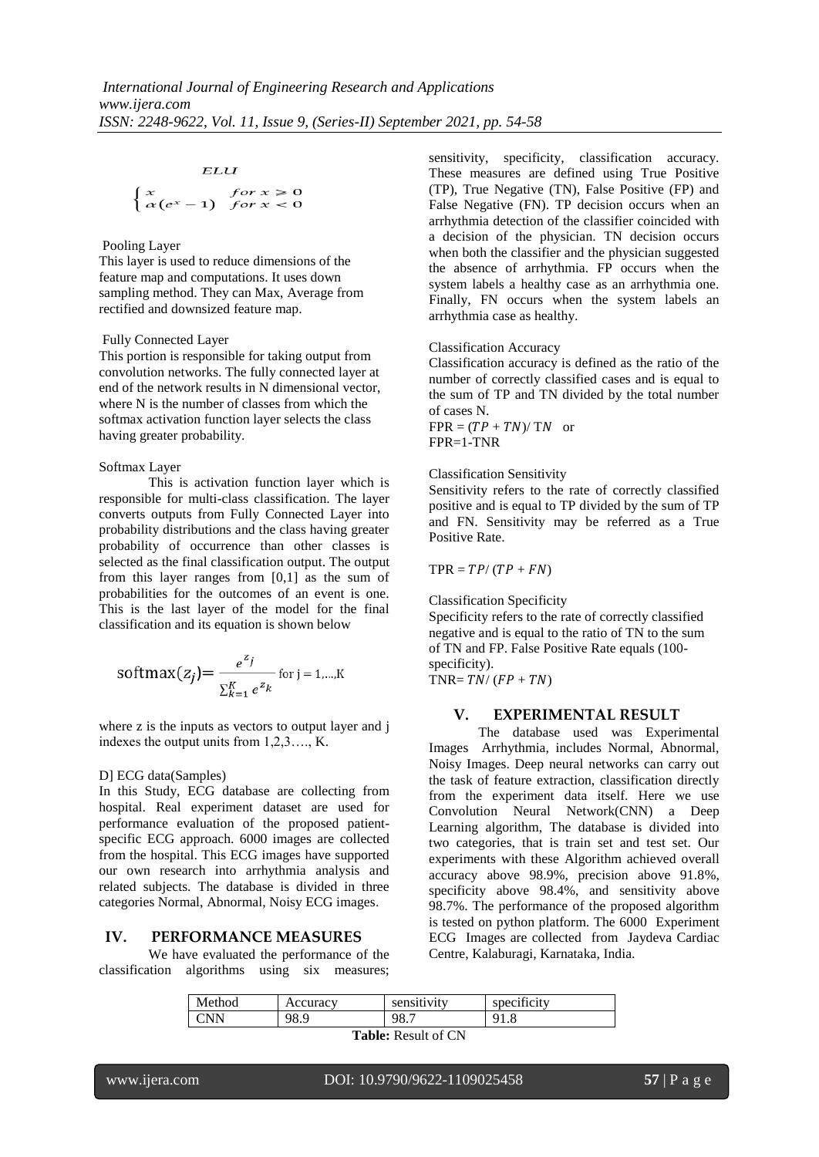#### ELU

$$
\begin{cases} x & \text{for } x \ge 0\\ \alpha(e^x - 1) & \text{for } x < 0 \end{cases}
$$

### Pooling Layer

This layer is used to reduce dimensions of the feature map and computations. It uses down sampling method. They can Max, Average from rectified and downsized feature map.

## Fully Connected Layer

This portion is responsible for taking output from convolution networks. The fully connected layer at end of the network results in N dimensional vector, where N is the number of classes from which the softmax activation function layer selects the class having greater probability.

### Softmax Layer

This is activation function layer which is responsible for multi-class classification. The layer converts outputs from Fully Connected Layer into probability distributions and the class having greater probability of occurrence than other classes is selected as the final classification output. The output from this layer ranges from [0,1] as the sum of probabilities for the outcomes of an event is one. This is the last layer of the model for the final classification and its equation is shown below

$$
softmax(z_j) = \frac{e^{z_j}}{\sum_{k=1}^{K} e^{z_k}} \text{ for } j = 1, \dots, K
$$

where z is the inputs as vectors to output layer and j indexes the output units from 1,2,3…., K.

## D] ECG data(Samples)

In this Study, ECG database are collecting from hospital. Real experiment dataset are used for performance evaluation of the proposed patientspecific ECG approach. 6000 images are collected from the hospital. This ECG images have supported our own research into arrhythmia analysis and related subjects. The database is divided in three categories Normal, Abnormal, Noisy ECG images.

## **IV. PERFORMANCE MEASURES**

We have evaluated the performance of the classification algorithms using six measures; sensitivity, specificity, classification accuracy. These measures are defined using True Positive (TP), True Negative (TN), False Positive (FP) and False Negative (FN). TP decision occurs when an arrhythmia detection of the classifier coincided with a decision of the physician. TN decision occurs when both the classifier and the physician suggested the absence of arrhythmia. FP occurs when the system labels a healthy case as an arrhythmia one. Finally, FN occurs when the system labels an arrhythmia case as healthy.

### Classification Accuracy

Classification accuracy is defined as the ratio of the number of correctly classified cases and is equal to the sum of TP and TN divided by the total number of cases N.

 $FPR = (TP + TN)/ TN$  or FPR=1-TNR

## Classification Sensitivity

Sensitivity refers to the rate of correctly classified positive and is equal to TP divided by the sum of TP and FN. Sensitivity may be referred as a True Positive Rate.

 $TPR = TP / (TP + FN)$ 

Classification Specificity

Specificity refers to the rate of correctly classified negative and is equal to the ratio of TN to the sum of TN and FP. False Positive Rate equals (100 specificity).

TNR=  $TN/(FP + TN)$ 

# **V. EXPERIMENTAL RESULT**

The database used was Experimental Images Arrhythmia, includes Normal, Abnormal, Noisy Images. Deep neural networks can carry out the task of feature extraction, classification directly from the experiment data itself. Here we use Convolution Neural Network(CNN) a Deep Learning algorithm, The database is divided into two categories, that is train set and test set. Our experiments with these Algorithm achieved overall accuracy above 98.9%, precision above 91.8%, specificity above 98.4%, and sensitivity above 98.7%. The performance of the proposed algorithm is tested on python platform. The 6000 Experiment ECG Images are collected from Jaydeva Cardiac Centre, Kalaburagi, Karnataka, India.

| Method                                                | Accuracy | sensitivity | $\cdots$<br>specificity |
|-------------------------------------------------------|----------|-------------|-------------------------|
| CNN                                                   | 98.9     | 98.7        | Q <sub>1</sub><br>1.0   |
| $\sim$ $\sim$ $\sim$ $\sim$ $\sim$<br>.<br>$\sqrt{ }$ |          |             |                         |

**Table:** Result of CN